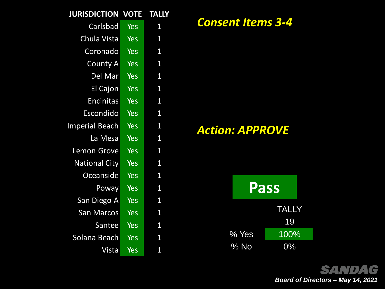| <b>JURISDICTION</b>   | <b>VOTE</b> | <b>TALLY</b>   |
|-----------------------|-------------|----------------|
| Carlsbad              | Yes         | 1              |
| Chula Vista           | Yes         | $\overline{1}$ |
| Coronado              | <b>Yes</b>  | 1              |
| <b>County A</b>       | <b>Yes</b>  | $\mathbf{1}$   |
| Del Mar               | <b>Yes</b>  | 1              |
| <b>El Cajon</b>       | <b>Yes</b>  | 1              |
| <b>Encinitas</b>      | <b>Yes</b>  | 1              |
| <b>Escondido</b>      | <b>Yes</b>  | $\mathbf{1}$   |
| <b>Imperial Beach</b> | <b>Yes</b>  | $\overline{1}$ |
| La Mesa               | Yes         | 1              |
| <b>Lemon Grove</b>    | Yes         | $\overline{1}$ |
| <b>National City</b>  | <b>Yes</b>  | 1              |
| Oceanside             | <b>Yes</b>  | 1              |
| Poway                 | <b>Yes</b>  | 1              |
| San Diego A           | <b>Yes</b>  | 1              |
| <b>San Marcos</b>     | Yes         | 1              |
| Santee                | <b>Yes</b>  | 1              |
| Solana Beach          | Yes         | 1              |
| Vista                 | <b>Yes</b>  | $\overline{1}$ |

### *Consent Items 3-4*

*Action: APPROVE*



**SANDAG** *Board of Directors – May 14, 2021*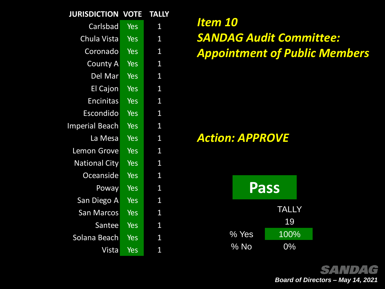| <b>JURISDICTION</b>   | <b>VOTE</b> | <b>TALLY</b>   |
|-----------------------|-------------|----------------|
| Carlsbad              | Yes         | 1              |
| Chula Vista           | <b>Yes</b>  | $\mathbf{1}$   |
| Coronado              | <b>Yes</b>  | $\mathbf{1}$   |
| <b>County A</b>       | <b>Yes</b>  | $\mathbf{1}$   |
| Del Mar               | <b>Yes</b>  | 1              |
| <b>El Cajon</b>       | <b>Yes</b>  | 1              |
| <b>Encinitas</b>      | <b>Yes</b>  | $\mathbf{1}$   |
| Escondido             | <b>Yes</b>  | $\mathbf{1}$   |
| <b>Imperial Beach</b> | <b>Yes</b>  | 1              |
| La Mesa               | <b>Yes</b>  | 1              |
| <b>Lemon Grove</b>    | Yes         | $\overline{1}$ |
| <b>National City</b>  | <b>Yes</b>  | 1              |
| Oceanside             | <b>Yes</b>  | 1              |
| Poway                 | <b>Yes</b>  | 1              |
| San Diego A           | <b>Yes</b>  | 1              |
| <b>San Marcos</b>     | <b>Yes</b>  | 1              |
| Santee                | Yes         | 1              |
| Solana Beach          | Yes         | 1              |
| Vista                 | <b>Yes</b>  | $\overline{1}$ |

*Item 10 SANDAG Audit Committee: Appointment of Public Members*

## *Action: APPROVE*



**SANDAG** *Board of Directors – May 14, 2021*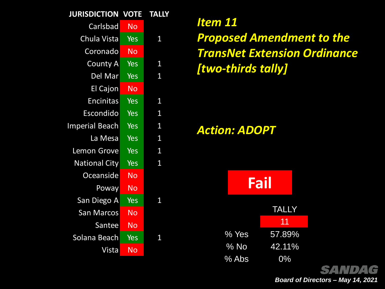| <b>JURISDICTION</b>   | <b>VOTE</b> | <b>TALLY</b>   |
|-----------------------|-------------|----------------|
| Carlsbad              | <b>No</b>   |                |
| Chula Vista           | Yes         | 1              |
| Coronado              | <b>No</b>   |                |
| <b>County A</b>       | Yes         | $\overline{1}$ |
| Del Mar               | <b>Yes</b>  | $\mathbf{1}$   |
| El Cajon              | <b>No</b>   |                |
| <b>Encinitas</b>      | Yes         | 1              |
| Escondido             | <b>Yes</b>  | 1              |
| <b>Imperial Beach</b> | Yes         | $\overline{1}$ |
| La Mesa               | Yes         | 1              |
| <b>Lemon Grove</b>    | <b>Yes</b>  | $\mathbf{1}$   |
| <b>National City</b>  | <b>Yes</b>  | 1              |
| Oceanside             | <b>No</b>   |                |
| Poway                 | <b>No</b>   |                |
| San Diego A           | Yes         | 1              |
| <b>San Marcos</b>     | <b>No</b>   |                |
| Santee                | <b>No</b>   |                |
| Solana Beach          | Yes         | 1              |
| Vista                 | <b>No</b>   |                |
|                       |             |                |

*Item 11 Proposed Amendment to the TransNet Extension Ordinance [two-thirds tally]*

*Action: ADOPT*



*Board of Directors – May 14, 2021*

DIG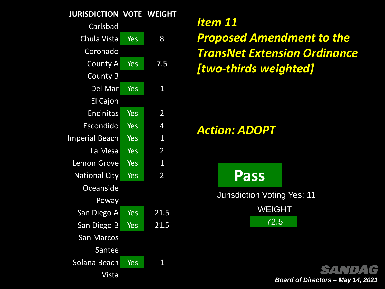#### **JURISDICTION VOTE WEIGHT**

| Carlsbad              |                  |                |
|-----------------------|------------------|----------------|
| Chula Vista           | Yes              | 8              |
| Coronado              |                  |                |
| <b>County A</b>       | Yes              | 7.5            |
| County B              |                  |                |
| Del Mar               | $Ye\overline{s}$ | $\overline{1}$ |
| El Cajon              |                  |                |
| <b>Encinitas</b>      | Yes              | $\overline{2}$ |
| Escondido             | Yes              | 4              |
| <b>Imperial Beach</b> | <b>Yes</b>       | 1              |
| La Mesa               | Yes              | $\overline{2}$ |
| <b>Lemon Grove</b>    | <b>Yes</b>       | $\overline{1}$ |
| <b>National City</b>  | <b>Yes</b>       | $\overline{2}$ |
| Oceanside             |                  |                |
| Poway                 |                  |                |
| San Diego A           | Yes              | 21.5           |
| San Diego B           | Yes              | 21.5           |
| <b>San Marcos</b>     |                  |                |
| Santee                |                  |                |
| Solana Beach          | <b>Yes</b>       | 1              |
| Vista                 |                  |                |

# *Item 11 Proposed Amendment to the TransNet Extension Ordinance [two-thirds weighted]*

*Action: ADOPT*

**Pass**

Jurisdiction Voting Yes: 11 WEIGHT 72.5